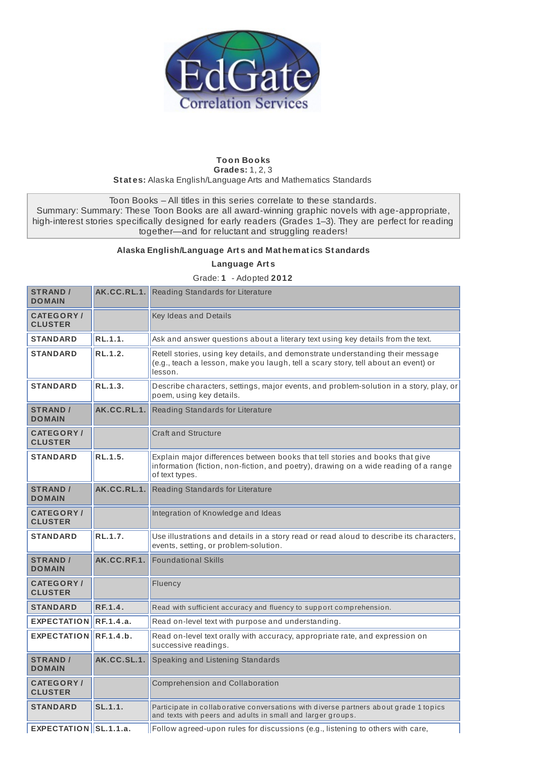

## **Toon Books Grades:** 1, 2, 3 **St at es:** Alaska English/Language Arts and Mathematics Standards

Toon Books – All titles in this series correlate to these standards. Summary: Summary: These Toon Books are all award-winning graphic novels with age-appropriate, high-interest stories specifically designed for early readers (Grades 1–3). They are perfect for reading together—and for reluctant and struggling readers!

## **Alaska English/Language Art s and Mat hemat ics St andards**

**Language Art s**

**STRAND / DOMAIN AK.CC.RL.1.** Reading Standards for Literature **CATEGORY / CLUSTER** Key Ideas and Details **STANDARD RL.1.1.** Ask and answer questions about a literary text using key details from the text. **STANDARD RL.1.2.** Retell stories, using key details, and demonstrate understanding their message (e.g., teach a lesson, make you laugh, tell a scary story, tell about an event) or lesson. **STANDARD RL.1.3. Rese REGO Reserves** characters, settings, major events, and problem-solution in a story, play, or poem, using key details. **STRAND / DOMAIN AK.CC.RL.1.** Reading Standards for Literature **CATEGORY / CLUSTER** Craft and Structure **STANDARD RL.1.5.** Explain major differences between books that tell stories and books that give information (fiction, non-fiction, and poetry), drawing on a wide reading of a range of text types. **STRAND / DOMAIN AK.CC.RL.1.** Reading Standards for Literature **CATEGORY / CLUSTER** Integration of Knowledge and Ideas **STANDARD RL.1.7.** Use illustrations and details in a story read or read aloud to describe its characters, events, setting, or problem-solution. **STRAND / DOMAIN AK.CC.RF.1.** Foundational Skills **CATEGORY / CLUSTER** Fluency **STANDARD RF.1.4. Read with sufficient accuracy and fluency to support comprehension. EXPECTATION RF.1.4.a.** Read on-level text with purpose and understanding **EXPECTATION RF.1.4.b.** Read on-level text orally with accuracy, appropriate rate, and expression on successive readings. **STRAND / DOMAIN AK.CC.SL.1.** Speaking and Listening Standards **CATEGORY /** Comprehension and Collaboration

Grade: **1** - Adopted **2012**

**STANDARD SL.1.1. Participate in collaborative conversations with diverse partners about grade 1 topics** and texts with peers and adults in small and larger groups.

**CLUSTER**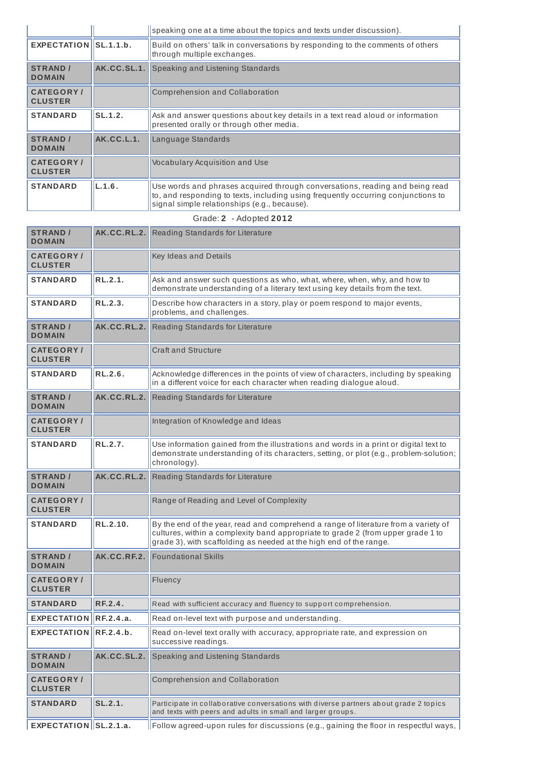|                                    |             | speaking one at a time about the topics and texts under discussion).                                                                                                                                              |
|------------------------------------|-------------|-------------------------------------------------------------------------------------------------------------------------------------------------------------------------------------------------------------------|
| EXPECTATION <b>IISL.1.1.b.</b>     |             | Build on others' talk in conversations by responding to the comments of others<br>through multiple exchanges.                                                                                                     |
| <b>STRAND /</b><br><b>DOMAIN</b>   | AK.CC.SL.1. | Speaking and Listening Standards                                                                                                                                                                                  |
| <b>CATEGORY/</b><br><b>CLUSTER</b> |             | Comprehension and Collaboration                                                                                                                                                                                   |
| <b>STANDARD</b>                    | SL.1.2.     | Ask and answer questions about key details in a text read aloud or information<br>presented orally or through other media.                                                                                        |
| <b>STRAND /</b><br><b>DOMAIN</b>   | AK.CC.L.1.  | Language Standards                                                                                                                                                                                                |
| <b>CATEGORY/</b><br><b>CLUSTER</b> |             | <b>Vocabulary Acquisition and Use</b>                                                                                                                                                                             |
| <b>STANDARD</b>                    | L.1.6.      | Use words and phrases acquired through conversations, reading and being read<br>to, and responding to texts, including using frequently occurring conjunctions to<br>signal simple relationships (e.g., because). |

|  | Grade: 2 - Adopted 2012 |
|--|-------------------------|
|--|-------------------------|

| <b>STRAND /</b><br><b>DOMAIN</b>   |             | <b>AK.CC.RL.2.</b> Reading Standards for Literature                                                                                                                                                                                           |
|------------------------------------|-------------|-----------------------------------------------------------------------------------------------------------------------------------------------------------------------------------------------------------------------------------------------|
| <b>CATEGORY/</b><br><b>CLUSTER</b> |             | Key Ideas and Details                                                                                                                                                                                                                         |
| <b>STANDARD</b>                    | RL.2.1.     | Ask and answer such questions as who, what, where, when, why, and how to<br>demonstrate understanding of a literary text using key details from the text.                                                                                     |
| <b>STANDARD</b>                    | RL.2.3.     | Describe how characters in a story, play or poem respond to major events,<br>problems, and challenges.                                                                                                                                        |
| <b>STRAND /</b><br><b>DOMAIN</b>   | AK.CC.RL.2. | Reading Standards for Literature                                                                                                                                                                                                              |
| <b>CATEGORY/</b><br><b>CLUSTER</b> |             | <b>Craft and Structure</b>                                                                                                                                                                                                                    |
| <b>STANDARD</b>                    | RL.2.6.     | Acknowledge differences in the points of view of characters, including by speaking<br>in a different voice for each character when reading dialogue aloud.                                                                                    |
| <b>STRAND /</b><br><b>DOMAIN</b>   | AK.CC.RL.2. | Reading Standards for Literature                                                                                                                                                                                                              |
| <b>CATEGORY/</b><br><b>CLUSTER</b> |             | Integration of Knowledge and Ideas                                                                                                                                                                                                            |
| <b>STANDARD</b>                    | RL.2.7.     | Use information gained from the illustrations and words in a print or digital text to<br>demonstrate understanding of its characters, setting, or plot (e.g., problem-solution;<br>chronology).                                               |
| <b>STRAND /</b><br><b>DOMAIN</b>   |             | AK.CC.RL.2. Reading Standards for Literature                                                                                                                                                                                                  |
| <b>CATEGORY/</b><br><b>CLUSTER</b> |             | Range of Reading and Level of Complexity                                                                                                                                                                                                      |
| <b>STANDARD</b>                    | RL.2.10.    | By the end of the year, read and comprehend a range of literature from a variety of<br>cultures, within a complexity band appropriate to grade 2 (from upper grade 1 to<br>grade 3), with scaffolding as needed at the high end of the range. |
| <b>STRAND /</b><br><b>DOMAIN</b>   | AK.CC.RF.2. | <b>Foundational Skills</b>                                                                                                                                                                                                                    |
| <b>CATEGORY/</b><br><b>CLUSTER</b> |             | Fluency                                                                                                                                                                                                                                       |
| <b>STANDARD</b>                    | RF.2.4.     | Read with sufficient accuracy and fluency to support comprehension.                                                                                                                                                                           |
| EXPECTATION RF.2.4.a.              |             | Read on-level text with purpose and understanding.                                                                                                                                                                                            |
| EXPECTATION RF.2.4.b.              |             | Read on-level text orally with accuracy, appropriate rate, and expression on<br>successive readings.                                                                                                                                          |
| <b>STRAND /</b><br><b>DOMAIN</b>   | AK.CC.SL.2. | Speaking and Listening Standards                                                                                                                                                                                                              |
| <b>CATEGORY/</b><br><b>CLUSTER</b> |             | Comprehension and Collaboration                                                                                                                                                                                                               |
| <b>STANDARD</b>                    | SL.2.1.     | Participate in collaborative conversations with diverse partners about grade 2 topics<br>and texts with peers and adults in small and larger groups.                                                                                          |
| $EXPECTATION$ SL.2.1.a.            |             | $\parallel$ Follow agreed-upon rules for discussions (e.g., gaining the floor in respectful ways, $\mid$                                                                                                                                      |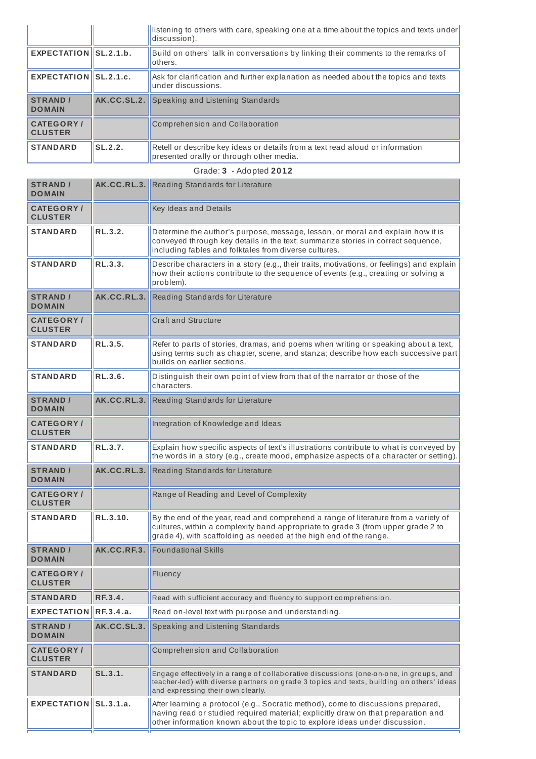|                                     |                | listening to others with care, speaking one at a time about the topics and texts under<br>discussion).                    |
|-------------------------------------|----------------|---------------------------------------------------------------------------------------------------------------------------|
| EXPECTATION <b>ISL.2.1.b.</b>       |                | Build on others' talk in conversations by linking their comments to the remarks of<br>others.                             |
| EXPECTATION $\vert$ SL.2.1.c.       |                | Ask for clarification and further explanation as needed about the topics and texts<br>under discussions.                  |
| <b>STRAND /</b><br><b>DOMAIN</b>    |                | <b>AK.CC.SL.2.</b> Speaking and Listening Standards                                                                       |
| <b>CATEGORY /</b><br><b>CLUSTER</b> |                | Comprehension and Collaboration                                                                                           |
| <b>STANDARD</b>                     | <b>SL.2.2.</b> | Retell or describe key ideas or details from a text read aloud or information<br>presented orally or through other media. |

| Grade: 3 - Adopted 2012             |             |                                                                                                                                                                                                                                                     |  |
|-------------------------------------|-------------|-----------------------------------------------------------------------------------------------------------------------------------------------------------------------------------------------------------------------------------------------------|--|
| <b>STRAND /</b><br><b>DOMAIN</b>    | AK.CC.RL.3. | Reading Standards for Literature                                                                                                                                                                                                                    |  |
| <b>CATEGORY/</b><br><b>CLUSTER</b>  |             | Key Ideas and Details                                                                                                                                                                                                                               |  |
| <b>STANDARD</b>                     | RL.3.2.     | Determine the author's purpose, message, lesson, or moral and explain how it is<br>conveyed through key details in the text; summarize stories in correct sequence,<br>including fables and folktales from diverse cultures.                        |  |
| <b>STANDARD</b>                     | RL.3.3.     | Describe characters in a story (e.g., their traits, motivations, or feelings) and explain<br>how their actions contribute to the sequence of events (e.g., creating or solving a<br>problem).                                                       |  |
| <b>STRAND /</b><br><b>DOMAIN</b>    | AK.CC.RL.3. | Reading Standards for Literature                                                                                                                                                                                                                    |  |
| <b>CATEGORY/</b><br><b>CLUSTER</b>  |             | <b>Craft and Structure</b>                                                                                                                                                                                                                          |  |
| <b>STANDARD</b>                     | RL.3.5.     | Refer to parts of stories, dramas, and poems when writing or speaking about a text,<br>using terms such as chapter, scene, and stanza; describe how each successive part<br>builds on earlier sections.                                             |  |
| <b>STANDARD</b>                     | RL.3.6.     | Distinguish their own point of view from that of the narrator or those of the<br>characters.                                                                                                                                                        |  |
| <b>STRAND /</b><br><b>DOMAIN</b>    | AK.CC.RL.3. | Reading Standards for Literature                                                                                                                                                                                                                    |  |
| <b>CATEGORY</b> /<br><b>CLUSTER</b> |             | Integration of Knowledge and Ideas                                                                                                                                                                                                                  |  |
| <b>STANDARD</b>                     | RL.3.7.     | Explain how specific aspects of text's illustrations contribute to what is conveyed by<br>the words in a story (e.g., create mood, emphasize aspects of a character or setting).                                                                    |  |
| <b>STRAND /</b><br><b>DOMAIN</b>    | AK.CC.RL.3. | Reading Standards for Literature                                                                                                                                                                                                                    |  |
| <b>CATEGORY/</b><br><b>CLUSTER</b>  |             | Range of Reading and Level of Complexity                                                                                                                                                                                                            |  |
| <b>STANDARD</b>                     | RL.3.10.    | By the end of the year, read and comprehend a range of literature from a variety of<br>cultures, within a complexity band appropriate to grade 3 (from upper grade 2 to<br>grade 4), with scaffolding as needed at the high end of the range.       |  |
| <b>STRAND /</b><br><b>DOMAIN</b>    | AK.CC.RF.3. | <b>Foundational Skills</b>                                                                                                                                                                                                                          |  |
| <b>CATEGORY/</b><br><b>CLUSTER</b>  |             | Fluency                                                                                                                                                                                                                                             |  |
| <b>STANDARD</b>                     | RF.3.4.     | Read with sufficient accuracy and fluency to support comprehension.                                                                                                                                                                                 |  |
| <b>EXPECTATION</b>                  | RF.3.4.a.   | Read on-level text with purpose and understanding.                                                                                                                                                                                                  |  |
| <b>STRAND /</b><br><b>DOMAIN</b>    | AK.CC.SL.3. | Speaking and Listening Standards                                                                                                                                                                                                                    |  |
| <b>CATEGORY/</b><br><b>CLUSTER</b>  |             | Comprehension and Collaboration                                                                                                                                                                                                                     |  |
| <b>STANDARD</b>                     | SL.3.1.     | Engage effectively in a range of collaborative discussions (one-on-one, in groups, and<br>teacher-led) with diverse partners on grade 3 topics and texts, building on others' ideas<br>and expressing their own clearly.                            |  |
| EXPECTATION SL.3.1.a.               |             | After learning a protocol (e.g., Socratic method), come to discussions prepared,<br>having read or studied required material; explicitly draw on that preparation and<br>other information known about the topic to explore ideas under discussion. |  |